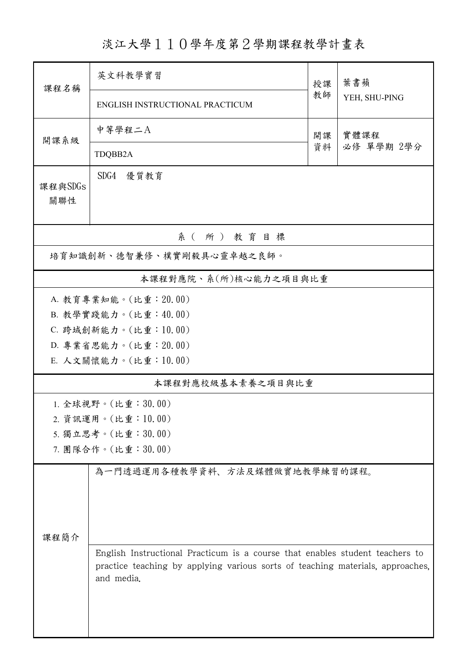淡江大學110學年度第2學期課程教學計畫表

| 課程名稱                      | 英文科教學實習                                                                                                                                                                      |          | 葉書蘋                |  |  |  |  |
|---------------------------|------------------------------------------------------------------------------------------------------------------------------------------------------------------------------|----------|--------------------|--|--|--|--|
|                           | ENGLISH INSTRUCTIONAL PRACTICUM                                                                                                                                              | 教師       | YEH, SHU-PING      |  |  |  |  |
| 開課系級                      | 中等學程二A                                                                                                                                                                       | 開課<br>資料 | 實體課程<br>必修 單學期 2學分 |  |  |  |  |
|                           | TDQBB2A                                                                                                                                                                      |          |                    |  |  |  |  |
| 課程與SDGs<br>關聯性            | SDG4 優質教育                                                                                                                                                                    |          |                    |  |  |  |  |
| 系(所)教育目標                  |                                                                                                                                                                              |          |                    |  |  |  |  |
| 培育知識創新、德智兼修、樸實剛毅具心靈卓越之良師。 |                                                                                                                                                                              |          |                    |  |  |  |  |
|                           | 本課程對應院、系(所)核心能力之項目與比重                                                                                                                                                        |          |                    |  |  |  |  |
| A. 教育專業知能。(比重: 20.00)     |                                                                                                                                                                              |          |                    |  |  |  |  |
|                           | B. 教學實踐能力。(比重:40.00)                                                                                                                                                         |          |                    |  |  |  |  |
|                           | C. 跨域創新能力。(比重:10.00)                                                                                                                                                         |          |                    |  |  |  |  |
|                           | D. 專業省思能力。(比重: 20.00)                                                                                                                                                        |          |                    |  |  |  |  |
|                           | E. 人文關懷能力。(比重:10.00)                                                                                                                                                         |          |                    |  |  |  |  |
|                           | 本課程對應校級基本素養之項目與比重                                                                                                                                                            |          |                    |  |  |  |  |
|                           | 1. 全球視野。(比重:30.00)                                                                                                                                                           |          |                    |  |  |  |  |
|                           | 2. 資訊運用。(比重:10.00)                                                                                                                                                           |          |                    |  |  |  |  |
|                           | 5. 獨立思考。(比重:30.00)                                                                                                                                                           |          |                    |  |  |  |  |
|                           | 7. 團隊合作。(比重:30.00)                                                                                                                                                           |          |                    |  |  |  |  |
|                           | 為一門透過運用各種教學資料、方法及媒體做實地教學練習的課程。                                                                                                                                               |          |                    |  |  |  |  |
| 課程簡介                      |                                                                                                                                                                              |          |                    |  |  |  |  |
|                           | English Instructional Practicum is a course that enables student teachers to<br>practice teaching by applying various sorts of teaching materials, approaches,<br>and media. |          |                    |  |  |  |  |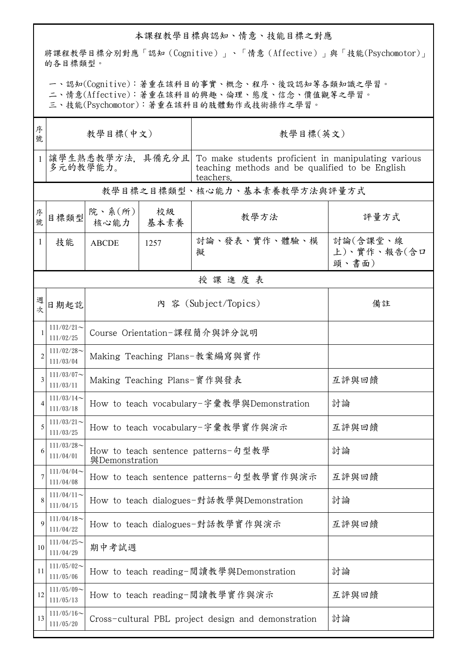## 本課程教學目標與認知、情意、技能目標之對應

將課程教學目標分別對應「認知(Cognitive)」、「情意(Affective)」與「技能(Psychomotor)」 的各目標類型。

一、認知(Cognitive):著重在該科目的事實、概念、程序、後設認知等各類知識之學習。

二、情意(Affective):著重在該科目的興趣、倫理、態度、信念、價值觀等之學習。

三、技能(Psychomotor):著重在該科目的肢體動作或技術操作之學習。

| 序<br>號         | 教學目標(中文)                   |                                                       |                                           | 教學目標(英文)                                                                                                            |                                  |  |
|----------------|----------------------------|-------------------------------------------------------|-------------------------------------------|---------------------------------------------------------------------------------------------------------------------|----------------------------------|--|
| $\mathbf{1}$   | 多元的教學能力。                   | 讓學生熟悉教學方法,具備充分且                                       |                                           | To make students proficient in manipulating various<br>teaching methods and be qualified to be English<br>teachers. |                                  |  |
|                |                            |                                                       | 教學目標之目標類型、核心能力、基本素養教學方法與評量方式              |                                                                                                                     |                                  |  |
| 序號             | 目標類型                       | 院、系 $(\text{ff})$<br>核心能力   基本素養                      | 校級                                        | 教學方法                                                                                                                | 評量方式                             |  |
| 1              | 技能                         | <b>ABCDE</b>                                          | 1257                                      | 討論、發表、實作、體驗、模<br>擬                                                                                                  | 討論(含課堂、線<br>上)、實作、報告(含口<br>頭、書面) |  |
|                |                            |                                                       |                                           | 授課進度表                                                                                                               |                                  |  |
| 週次             | 日期起訖                       |                                                       |                                           | 內 容 (Subject/Topics)                                                                                                | 備註                               |  |
|                | $111/02/21$ ~<br>111/02/25 | Course Orientation-課程簡介與評分說明                          |                                           |                                                                                                                     |                                  |  |
| $\overline{2}$ | $111/02/28$ ~<br>111/03/04 | Making Teaching Plans-教案編寫與實作                         |                                           |                                                                                                                     |                                  |  |
| 3              | $111/03/07$ ~<br>111/03/11 | Making Teaching Plans-實作與發表                           |                                           |                                                                                                                     | 互評與回饋                            |  |
| 4              | $111/03/14$ ~<br>111/03/18 | How to teach vocabulary-字彙教學與Demonstration            |                                           |                                                                                                                     | 討論                               |  |
| 5              | $111/03/21$ ~<br>111/03/25 | How to teach vocabulary-字彙教學實作與演示                     |                                           |                                                                                                                     | 互評與回饋                            |  |
| 6              | $111/03/28$ ~<br>111/04/01 | How to teach sentence patterns-句型教學<br>與Demonstration |                                           |                                                                                                                     | 討論                               |  |
| 7              | $111/04/04$ ~<br>111/04/08 | How to teach sentence patterns-句型教學實作與演示              |                                           |                                                                                                                     | 互評與回饋                            |  |
| 8              | $111/04/11$ ~<br>111/04/15 |                                                       | How to teach dialogues-對話教學與Demonstration | 討論                                                                                                                  |                                  |  |
| 9              | $111/04/18$ ~<br>111/04/22 | How to teach dialogues-對話教學實作與演示                      |                                           |                                                                                                                     | 互評與回饋                            |  |
| 10             | $111/04/25$ ~<br>111/04/29 | 期中考試週                                                 |                                           |                                                                                                                     |                                  |  |
| 11             | $111/05/02$ ~<br>111/05/06 | How to teach reading-閲讀教學與Demonstration               |                                           |                                                                                                                     | 討論                               |  |
| 12             | $111/05/09$ ~<br>111/05/13 | How to teach reading-閲讀教學實作與演示                        |                                           |                                                                                                                     | 互評與回饋                            |  |
| 13             | $111/05/16$ ~<br>111/05/20 | Cross-cultural PBL project design and demonstration   |                                           |                                                                                                                     | 討論                               |  |